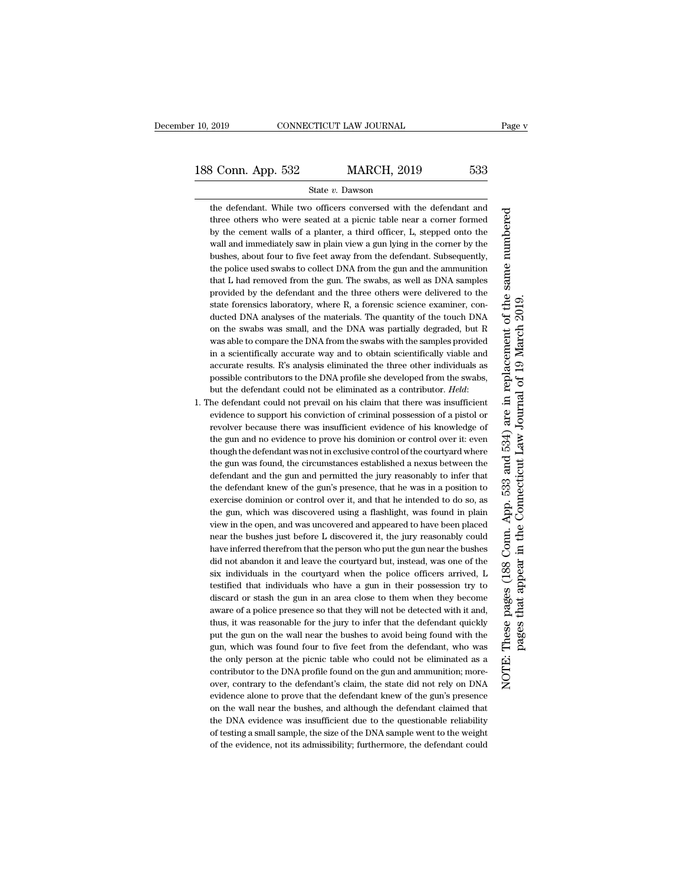## State *v.* Dawson

the defendant. While two officers conversed with the defendant and three others who were seated at a picnic table near a corner formed by the cement walls of a planter, a third officer, L, stepped onto the wall and immediately saw in plain view a gun lying in the corner by the bushes, about four to five feet away from the defendant. Subsequently, the police used swabs to collect DNA from the gun and the ammunition that L had removed from the gun. The swabs, as well as DNA samples provided by the defendant and the three others were delivered to the state forensics laboratory, where R, a forensic science examiner, conducted DNA analyses of the materials. The quantity of the touch DNA on the swabs was small, and the DNA was partially degraded, but R was able to compare the DNA from the swabs with the samples provided in a scientifically accurate way and to obtain scientifically viable and accurate results. R's analysis eliminated the three other individuals as possible contributors to the DNA profile she developed from the swabs, but the defendant could not be eliminated as a contributor. *Held*:

1. The defendant could not prevail on his claim that there was insufficient evidence to support his conviction of criminal possession of a pistol or revolver because there was insufficient evidence of his knowledge of the gun and no evidence to prove his dominion or control over it: even though the defendant was not in exclusive control of the courtyard where the gun was found, the circumstances established a nexus between the defendant and the gun and permitted the jury reasonably to infer that the defendant knew of the gun's presence, that he was in a position to exercise dominion or control over it, and that he intended to do so, as the gun, which was discovered using a flashlight, was found in plain view in the open, and was uncovered and appeared to have been placed near the bushes just before L discovered it, the jury reasonably could have inferred therefrom that the person who put the gun near the bushes did not abandon it and leave the courtyard but, instead, was one of the six individuals in the courtyard when the police officers arrived, L testified that individuals who have a gun in their possession try to discard or stash the gun in an area close to them when they become aware of a police presence so that they will not be detected with it and, thus, it was reasonable for the jury to infer that the defendant quickly put the gun on the wall near the bushes to avoid being found with the gun, which was found four to five feet from the defendant, who was the only person at the picnic table who could not be eliminated as a contributor to the DNA profile found on the gun and ammunition; moreover, contrary to the defendant's claim, the state did not rely on DNA evidence alone to prove that the defendant knew of the gun's presence on the wall near the bushes, and although the defendant claimed that the DNA evidence was insufficient due to the questionable reliability of testing a small sample, the size of the DNA sample went to the weight of the evidence, not its admissibility; furthermore, the defendant could

numbered NOTE: These pages (188 Conn. App. 533 and 534) are in replacement of the same numbered These pages (188 Conn. App. 533 and 534) are in replacement of the same pages that appear in the Connecticut Law Journal of 19 March 2019. pages that appear in the Connecticut Law Journal of 19 March 2019.NOTE: